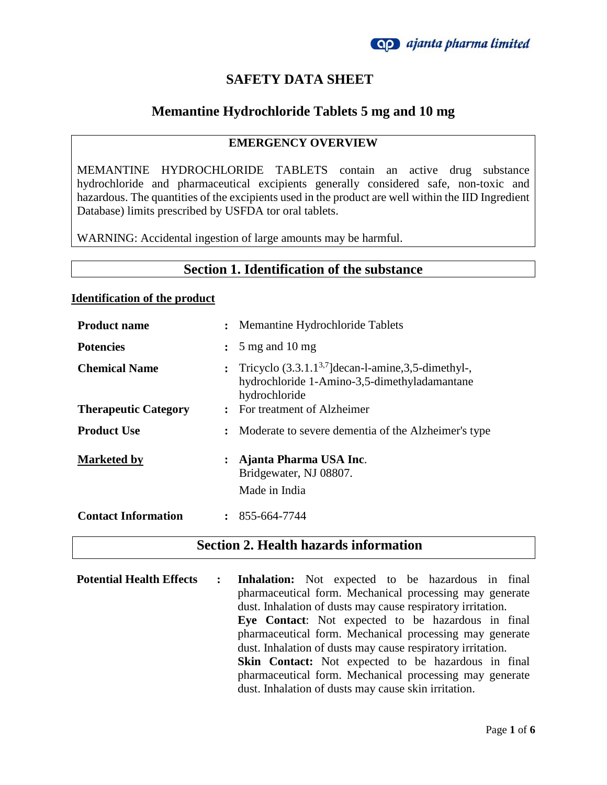

# **SAFETY DATA SHEET**

## **Memantine Hydrochloride Tablets 5 mg and 10 mg**

### **EMERGENCY OVERVIEW**

MEMANTINE HYDROCHLORIDE TABLETS contain an active drug substance hydrochloride and pharmaceutical excipients generally considered safe, non-toxic and hazardous. The quantities of the excipients used in the product are well within the IID Ingredient Database) limits prescribed by USFDA tor oral tablets.

WARNING: Accidental ingestion of large amounts may be harmful.

### **Section 1. Identification of the substance**

#### **Identification of the product**

| <b>Product name</b>         | $\ddot{\phantom{a}}$ | Memantine Hydrochloride Tablets                                                                                           |
|-----------------------------|----------------------|---------------------------------------------------------------------------------------------------------------------------|
| <b>Potencies</b>            | $\ddot{\cdot}$       | $5 \text{ mg}$ and $10 \text{ mg}$                                                                                        |
| <b>Chemical Name</b>        | $\ddot{\cdot}$       | Tricyclo $(3.3.1.1^{3.7})$ decan-l-amine, 3,5-dimethyl-,<br>hydrochloride 1-Amino-3,5-dimethyladamantane<br>hydrochloride |
| <b>Therapeutic Category</b> |                      | : For treatment of Alzheimer                                                                                              |
| <b>Product Use</b>          | $\ddot{\phantom{a}}$ | Moderate to severe dementia of the Alzheimer's type                                                                       |
| <b>Marketed by</b>          | $\ddot{\phantom{a}}$ | Ajanta Pharma USA Inc.<br>Bridgewater, NJ 08807.<br>Made in India                                                         |
| <b>Contact Information</b>  |                      | $: 855-664-7744$                                                                                                          |

### **Section 2. Health hazards information**

**Potential Health Effects : Inhalation:** Not expected to be hazardous in final pharmaceutical form. Mechanical processing may generate dust. Inhalation of dusts may cause respiratory irritation. **Eye Contact**: Not expected to be hazardous in final pharmaceutical form. Mechanical processing may generate dust. Inhalation of dusts may cause respiratory irritation. **Skin Contact:** Not expected to be hazardous in final pharmaceutical form. Mechanical processing may generate dust. Inhalation of dusts may cause skin irritation.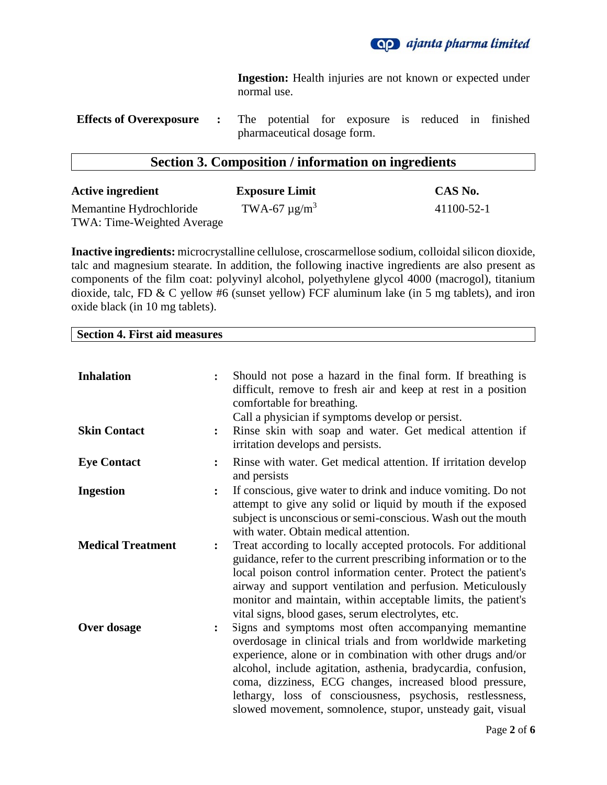

**Ingestion:** Health injuries are not known or expected under normal use.

**Effects of Overexposure :** The potential for exposure is reduced in finished pharmaceutical dosage form.

### **Section 3. Composition / information on ingredients**

| <b>Active ingredient</b>   | <b>Exposure Limit</b>         | CAS No.    |
|----------------------------|-------------------------------|------------|
| Memantine Hydrochloride    | TWA-67 $\mu$ g/m <sup>3</sup> | 41100-52-1 |
| TWA: Time-Weighted Average |                               |            |

**Inactive ingredients:** microcrystalline cellulose, croscarmellose sodium, colloidal silicon dioxide, talc and magnesium stearate. In addition, the following inactive ingredients are also present as components of the film coat: polyvinyl alcohol, polyethylene glycol 4000 (macrogol), titanium dioxide, talc, FD & C yellow #6 (sunset yellow) FCF aluminum lake (in 5 mg tablets), and iron oxide black (in 10 mg tablets).

**Section 4. First aid measures**

| <b>Inhalation</b><br><b>Skin Contact</b> | $\ddot{\cdot}$ | Should not pose a hazard in the final form. If breathing is<br>difficult, remove to fresh air and keep at rest in a position<br>comfortable for breathing.<br>Call a physician if symptoms develop or persist.<br>Rinse skin with soap and water. Get medical attention if<br>irritation develops and persists.                                                                                                                          |
|------------------------------------------|----------------|------------------------------------------------------------------------------------------------------------------------------------------------------------------------------------------------------------------------------------------------------------------------------------------------------------------------------------------------------------------------------------------------------------------------------------------|
| <b>Eye Contact</b>                       | $\ddot{\cdot}$ | Rinse with water. Get medical attention. If irritation develop<br>and persists                                                                                                                                                                                                                                                                                                                                                           |
| <b>Ingestion</b>                         | $\ddot{\cdot}$ | If conscious, give water to drink and induce vomiting. Do not<br>attempt to give any solid or liquid by mouth if the exposed<br>subject is unconscious or semi-conscious. Wash out the mouth<br>with water. Obtain medical attention.                                                                                                                                                                                                    |
| <b>Medical Treatment</b>                 | $\ddot{\cdot}$ | Treat according to locally accepted protocols. For additional<br>guidance, refer to the current prescribing information or to the<br>local poison control information center. Protect the patient's<br>airway and support ventilation and perfusion. Meticulously<br>monitor and maintain, within acceptable limits, the patient's<br>vital signs, blood gases, serum electrolytes, etc.                                                 |
| Over dosage                              |                | Signs and symptoms most often accompanying memantine<br>overdosage in clinical trials and from worldwide marketing<br>experience, alone or in combination with other drugs and/or<br>alcohol, include agitation, asthenia, bradycardia, confusion,<br>coma, dizziness, ECG changes, increased blood pressure,<br>lethargy, loss of consciousness, psychosis, restlessness,<br>slowed movement, somnolence, stupor, unsteady gait, visual |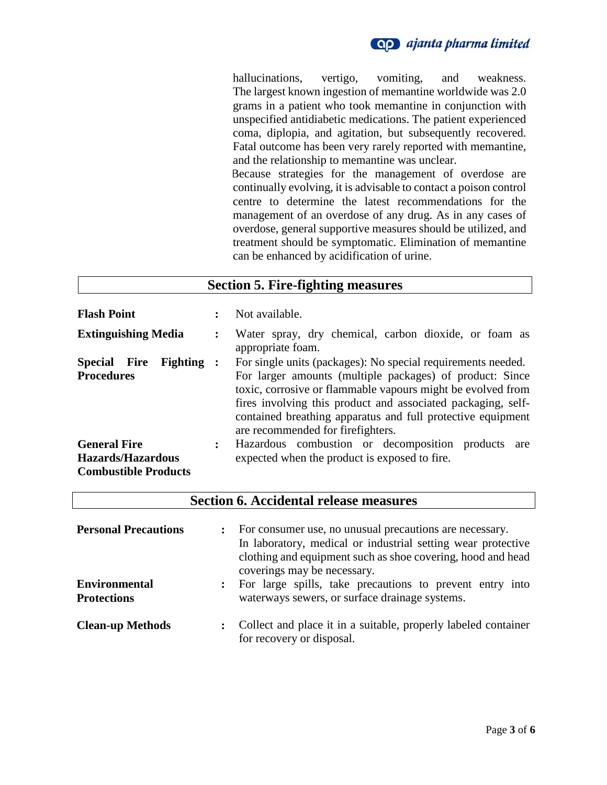

hallucinations, vertigo, vomiting, and weakness. The largest known ingestion of memantine worldwide was 2.0 grams in a patient who took memantine in conjunction with unspecified antidiabetic medications. The patient experienced coma, diplopia, and agitation, but subsequently recovered. Fatal outcome has been very rarely reported with memantine, and the relationship to memantine was unclear. Because strategies for the management of overdose are continually evolving, it is advisable to contact a poison control centre to determine the latest recommendations for the management of an overdose of any drug. As in any cases of

overdose, general supportive measures should be utilized, and treatment should be symptomatic. Elimination of memantine can be enhanced by acidification of urine.

| <b>Section 5. Fire-fighting measures</b>                                       |                      |                                                                                                                                                                                                                                                                                                                                                             |
|--------------------------------------------------------------------------------|----------------------|-------------------------------------------------------------------------------------------------------------------------------------------------------------------------------------------------------------------------------------------------------------------------------------------------------------------------------------------------------------|
| <b>Flash Point</b>                                                             |                      | Not available.                                                                                                                                                                                                                                                                                                                                              |
| <b>Extinguishing Media</b>                                                     |                      | Water spray, dry chemical, carbon dioxide, or foam as<br>appropriate foam.                                                                                                                                                                                                                                                                                  |
| <b>Special</b><br><b>Fighting</b> :<br><b>Fire</b><br><b>Procedures</b>        |                      | For single units (packages): No special requirements needed.<br>For larger amounts (multiple packages) of product: Since<br>toxic, corrosive or flammable vapours might be evolved from<br>fires involving this product and associated packaging, self-<br>contained breathing apparatus and full protective equipment<br>are recommended for firefighters. |
| <b>General Fire</b><br><b>Hazards/Hazardous</b><br><b>Combustible Products</b> | $\ddot{\phantom{a}}$ | Hazardous combustion or decomposition products<br>are<br>expected when the product is exposed to fire.                                                                                                                                                                                                                                                      |

| <b>Section 6. Accidental release measures</b> |                                                                                                                                                                                                                                         |  |  |
|-----------------------------------------------|-----------------------------------------------------------------------------------------------------------------------------------------------------------------------------------------------------------------------------------------|--|--|
| <b>Personal Precautions</b>                   | For consumer use, no unusual precautions are necessary.<br>$\ddot{\cdot}$<br>In laboratory, medical or industrial setting wear protective<br>clothing and equipment such as shoe covering, hood and head<br>coverings may be necessary. |  |  |
| <b>Environmental</b><br><b>Protections</b>    | For large spills, take precautions to prevent entry into<br>$\ddot{\cdot}$<br>waterways sewers, or surface drainage systems.                                                                                                            |  |  |
| <b>Clean-up Methods</b>                       | Collect and place it in a suitable, properly labeled container<br>for recovery or disposal.                                                                                                                                             |  |  |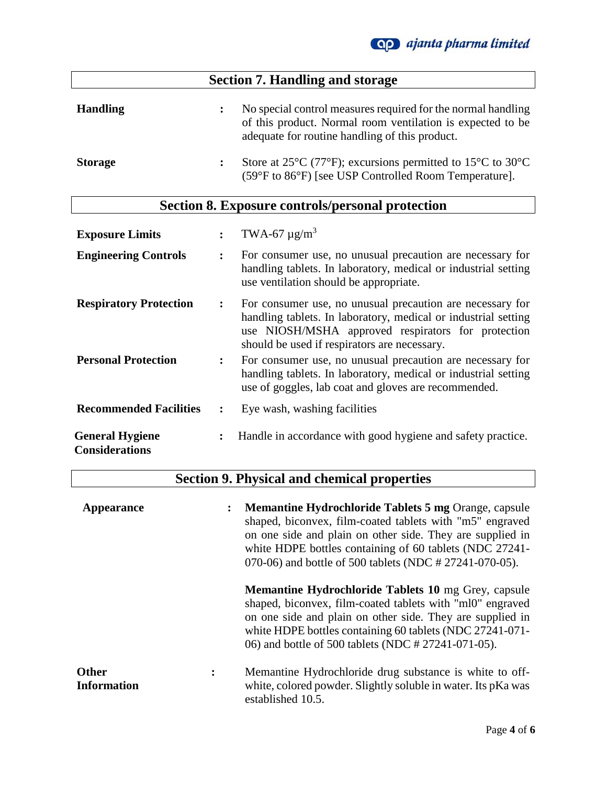| <b>Section 7. Handling and storage</b> |                                                                                                                                                                                                    |  |
|----------------------------------------|----------------------------------------------------------------------------------------------------------------------------------------------------------------------------------------------------|--|
| <b>Handling</b>                        | No special control measures required for the normal handling<br>of this product. Normal room ventilation is expected to be<br>adequate for routine handling of this product.                       |  |
| <b>Storage</b>                         | Store at 25 $\rm{^{\circ}C}$ (77 $\rm{^{\circ}F}$ ); excursions permitted to 15 $\rm{^{\circ}C}$ to 30 $\rm{^{\circ}C}$<br>$\ddot{\cdot}$<br>(59°F to 86°F) [see USP Controlled Room Temperature]. |  |

# **Section 8. Exposure controls/personal protection**

| <b>Exposure Limits</b>                          |                      | TWA-67 $\mu$ g/m <sup>3</sup>                                                                                                                                                                                                     |
|-------------------------------------------------|----------------------|-----------------------------------------------------------------------------------------------------------------------------------------------------------------------------------------------------------------------------------|
| <b>Engineering Controls</b>                     | $\ddot{\cdot}$       | For consumer use, no unusual precaution are necessary for<br>handling tablets. In laboratory, medical or industrial setting<br>use ventilation should be appropriate.                                                             |
| <b>Respiratory Protection</b>                   | $\ddot{\cdot}$       | For consumer use, no unusual precaution are necessary for<br>handling tablets. In laboratory, medical or industrial setting<br>use NIOSH/MSHA approved respirators for protection<br>should be used if respirators are necessary. |
| <b>Personal Protection</b>                      | $\ddot{\cdot}$       | For consumer use, no unusual precaution are necessary for<br>handling tablets. In laboratory, medical or industrial setting<br>use of goggles, lab coat and gloves are recommended.                                               |
| <b>Recommended Facilities</b>                   | $\ddot{\cdot}$       | Eye wash, washing facilities                                                                                                                                                                                                      |
| <b>General Hygiene</b><br><b>Considerations</b> | $\ddot{\phantom{a}}$ | Handle in accordance with good hygiene and safety practice.                                                                                                                                                                       |

# **Section 9. Physical and chemical properties**

| Appearance                                           | <b>Memantine Hydrochloride Tablets 5 mg Orange, capsule</b><br>shaped, biconvex, film-coated tablets with "m5" engraved<br>on one side and plain on other side. They are supplied in<br>white HDPE bottles containing of 60 tablets (NDC 27241-<br>070-06) and bottle of 500 tablets (NDC # 27241-070-05). |
|------------------------------------------------------|------------------------------------------------------------------------------------------------------------------------------------------------------------------------------------------------------------------------------------------------------------------------------------------------------------|
|                                                      | <b>Memantine Hydrochloride Tablets 10 mg Grey, capsule</b><br>shaped, biconvex, film-coated tablets with "ml0" engraved<br>on one side and plain on other side. They are supplied in<br>white HDPE bottles containing 60 tablets (NDC 27241-071-<br>06) and bottle of 500 tablets (NDC # 27241-071-05).    |
| <b>Other</b><br>$\ddot{\cdot}$<br><b>Information</b> | Memantine Hydrochloride drug substance is white to off-<br>white, colored powder. Slightly soluble in water. Its pKa was<br>established 10.5.                                                                                                                                                              |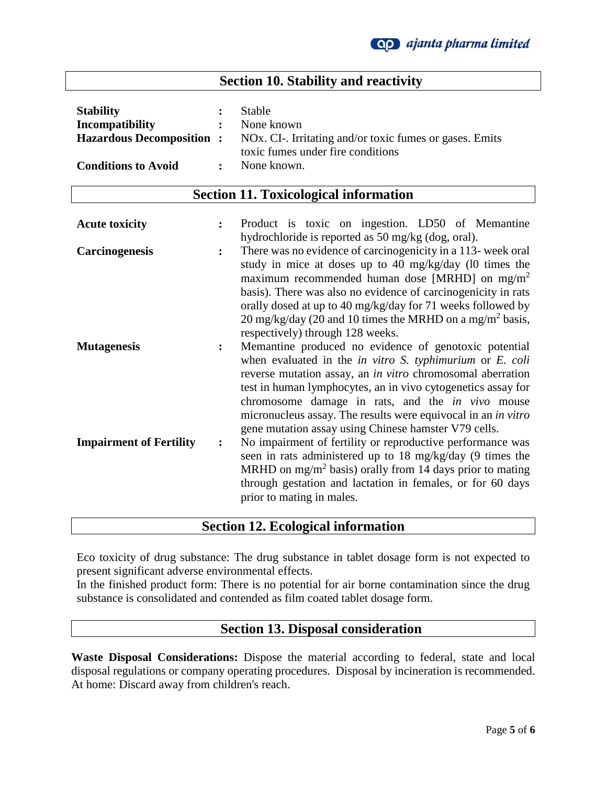## **Section 10. Stability and reactivity**

| <b>Stability</b>           | $\ddot{\phantom{a}}$ | Stable                                                                                   |
|----------------------------|----------------------|------------------------------------------------------------------------------------------|
| Incompatibility            |                      | : None known                                                                             |
|                            |                      | <b>Hazardous Decomposition :</b> NOx. CI-. Irritating and/or toxic fumes or gases. Emits |
|                            |                      | toxic fumes under fire conditions                                                        |
| <b>Conditions to Avoid</b> | $\mathbf{r}$         | None known.                                                                              |

### **Section 11. Toxicological information**

| <b>Acute toxicity</b>          |                | Product is toxic on ingestion. LD50 of Memantine                                                                                                                                                                                                                                                                                                                                                                                                         |
|--------------------------------|----------------|----------------------------------------------------------------------------------------------------------------------------------------------------------------------------------------------------------------------------------------------------------------------------------------------------------------------------------------------------------------------------------------------------------------------------------------------------------|
|                                |                | hydrochloride is reported as 50 mg/kg (dog, oral).                                                                                                                                                                                                                                                                                                                                                                                                       |
| <b>Carcinogenesis</b>          | $\ddot{\cdot}$ | There was no evidence of carcinogenicity in a 113- week oral<br>study in mice at doses up to 40 mg/kg/day (10 times the<br>maximum recommended human dose [MRHD] on $mg/m^2$<br>basis). There was also no evidence of carcinogenicity in rats<br>orally dosed at up to 40 mg/kg/day for 71 weeks followed by                                                                                                                                             |
|                                |                | 20 mg/kg/day (20 and 10 times the MRHD on a mg/m <sup>2</sup> basis,                                                                                                                                                                                                                                                                                                                                                                                     |
|                                |                | respectively) through 128 weeks.                                                                                                                                                                                                                                                                                                                                                                                                                         |
| <b>Mutagenesis</b>             | $\ddot{\cdot}$ | Memantine produced no evidence of genotoxic potential<br>when evaluated in the <i>in vitro S. typhimurium</i> or <i>E. coli</i><br>reverse mutation assay, an <i>in vitro</i> chromosomal aberration<br>test in human lymphocytes, an in vivo cytogenetics assay for<br>chromosome damage in rats, and the <i>in vivo</i> mouse<br>micronucleus assay. The results were equivocal in an in vitro<br>gene mutation assay using Chinese hamster V79 cells. |
| <b>Impairment of Fertility</b> | $\ddot{\cdot}$ | No impairment of fertility or reproductive performance was<br>seen in rats administered up to 18 mg/kg/day (9 times the<br>MRHD on mg/m <sup>2</sup> basis) orally from 14 days prior to mating<br>through gestation and lactation in females, or for 60 days<br>prior to mating in males.                                                                                                                                                               |

**Section 12. Ecological information**

Eco toxicity of drug substance: The drug substance in tablet dosage form is not expected to present significant adverse environmental effects.

In the finished product form: There is no potential for air borne contamination since the drug substance is consolidated and contended as film coated tablet dosage form.

### **Section 13. Disposal consideration**

**Waste Disposal Considerations:** Dispose the material according to federal, state and local disposal regulations or company operating procedures. Disposal by incineration is recommended. At home: Discard away from children's reach.